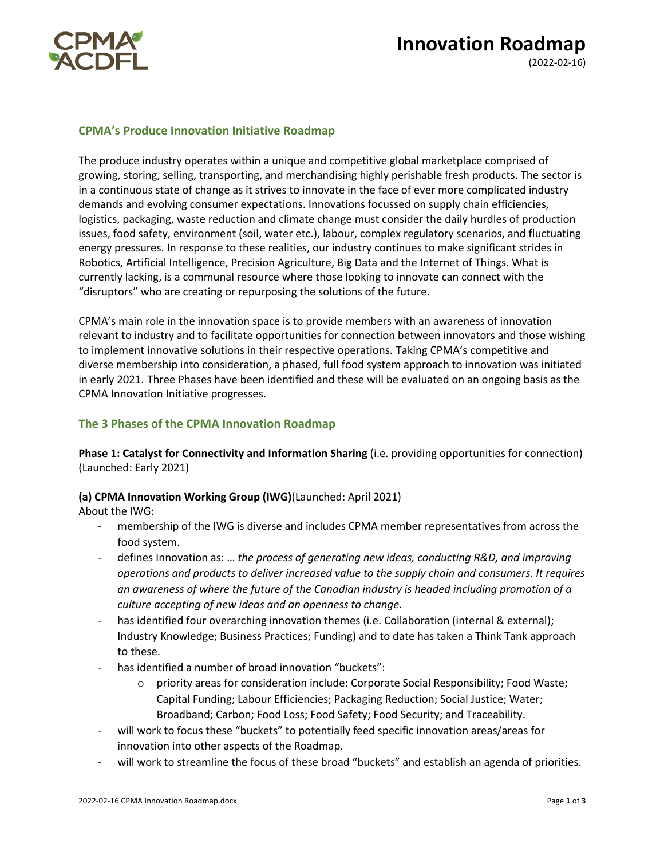

# **Innovation Roadmap**

(2022-02-16)

## **CPMA's Produce Innovation Initiative Roadmap**

The produce industry operates within a unique and competitive global marketplace comprised of growing, storing, selling, transporting, and merchandising highly perishable fresh products. The sector is in a continuous state of change as it strives to innovate in the face of ever more complicated industry demands and evolving consumer expectations. Innovations focussed on supply chain efficiencies, logistics, packaging, waste reduction and climate change must consider the daily hurdles of production issues, food safety, environment (soil, water etc.), labour, complex regulatory scenarios, and fluctuating energy pressures. In response to these realities, our industry continues to make significant strides in Robotics, Artificial Intelligence, Precision Agriculture, Big Data and the Internet of Things. What is currently lacking, is a communal resource where those looking to innovate can connect with the "disruptors" who are creating or repurposing the solutions of the future.

CPMA's main role in the innovation space is to provide members with an awareness of innovation relevant to industry and to facilitate opportunities for connection between innovators and those wishing to implement innovative solutions in their respective operations. Taking CPMA's competitive and diverse membership into consideration, a phased, full food system approach to innovation was initiated in early 2021. Three Phases have been identified and these will be evaluated on an ongoing basis as the CPMA Innovation Initiative progresses.

# **The 3 Phases of the CPMA Innovation Roadmap**

**Phase 1: Catalyst for Connectivity and Information Sharing** (i.e. providing opportunities for connection) (Launched: Early 2021)

## **(a) CPMA Innovation Working Group (IWG)**(Launched: April 2021)

About the IWG:

- membership of the IWG is diverse and includes CPMA member representatives from across the food system.
- defines Innovation as: … *the process of generating new ideas, conducting R&D, and improving operations and products to deliver increased value to the supply chain and consumers. It requires an awareness of where the future of the Canadian industry is headed including promotion of a culture accepting of new ideas and an openness to change*.
- has identified four overarching innovation themes (i.e. Collaboration (internal & external); Industry Knowledge; Business Practices; Funding) and to date has taken a Think Tank approach to these.
- has identified a number of broad innovation "buckets":
	- o priority areas for consideration include: Corporate Social Responsibility; Food Waste; Capital Funding; Labour Efficiencies; Packaging Reduction; Social Justice; Water; Broadband; Carbon; Food Loss; Food Safety; Food Security; and Traceability.
- will work to focus these "buckets" to potentially feed specific innovation areas/areas for innovation into other aspects of the Roadmap.
- will work to streamline the focus of these broad "buckets" and establish an agenda of priorities.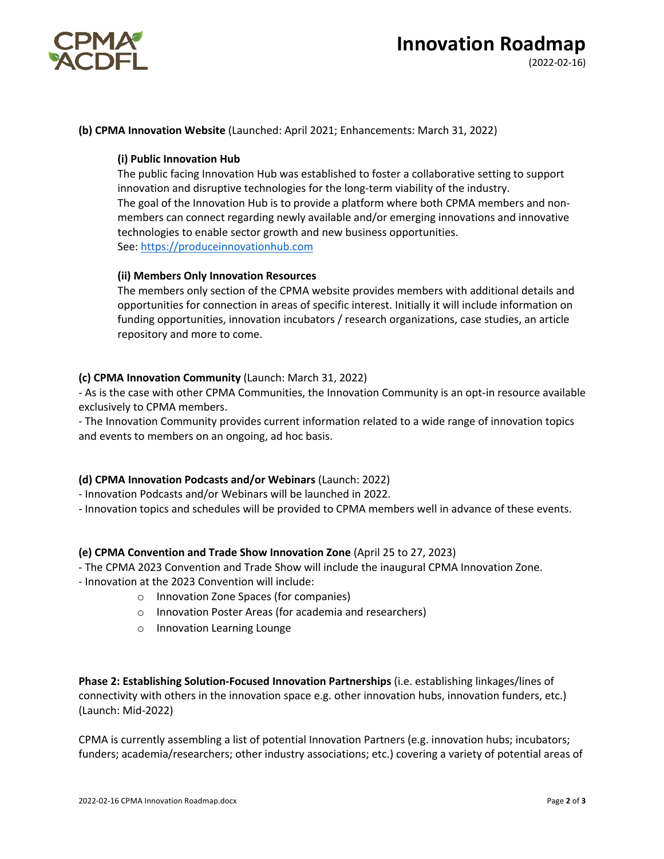

#### **(b) CPMA Innovation Website** (Launched: April 2021; Enhancements: March 31, 2022)

#### **(i) Public Innovation Hub**

The public facing Innovation Hub was established to foster a collaborative setting to support innovation and disruptive technologies for the long-term viability of the industry. The goal of the Innovation Hub is to provide a platform where both CPMA members and nonmembers can connect regarding newly available and/or emerging innovations and innovative technologies to enable sector growth and new business opportunities. See: https://produceinnovationhub.com

#### **(ii) Members Only Innovation Resources**

The members only section of the CPMA website provides members with additional details and opportunities for connection in areas of specific interest. Initially it will include information on funding opportunities, innovation incubators / research organizations, case studies, an article repository and more to come.

#### **(c) CPMA Innovation Community** (Launch: March 31, 2022)

- As is the case with other CPMA Communities, the Innovation Community is an opt-in resource available exclusively to CPMA members.

- The Innovation Community provides current information related to a wide range of innovation topics and events to members on an ongoing, ad hoc basis.

#### **(d) CPMA Innovation Podcasts and/or Webinars** (Launch: 2022)

- Innovation Podcasts and/or Webinars will be launched in 2022.

- Innovation topics and schedules will be provided to CPMA members well in advance of these events.

#### **(e) CPMA Convention and Trade Show Innovation Zone** (April 25 to 27, 2023)

- The CPMA 2023 Convention and Trade Show will include the inaugural CPMA Innovation Zone.

- Innovation at the 2023 Convention will include:
	- o Innovation Zone Spaces (for companies)
	- o Innovation Poster Areas (for academia and researchers)
	- o Innovation Learning Lounge

**Phase 2: Establishing Solution-Focused Innovation Partnerships** (i.e. establishing linkages/lines of connectivity with others in the innovation space e.g. other innovation hubs, innovation funders, etc.) (Launch: Mid-2022)

CPMA is currently assembling a list of potential Innovation Partners (e.g. innovation hubs; incubators; funders; academia/researchers; other industry associations; etc.) covering a variety of potential areas of